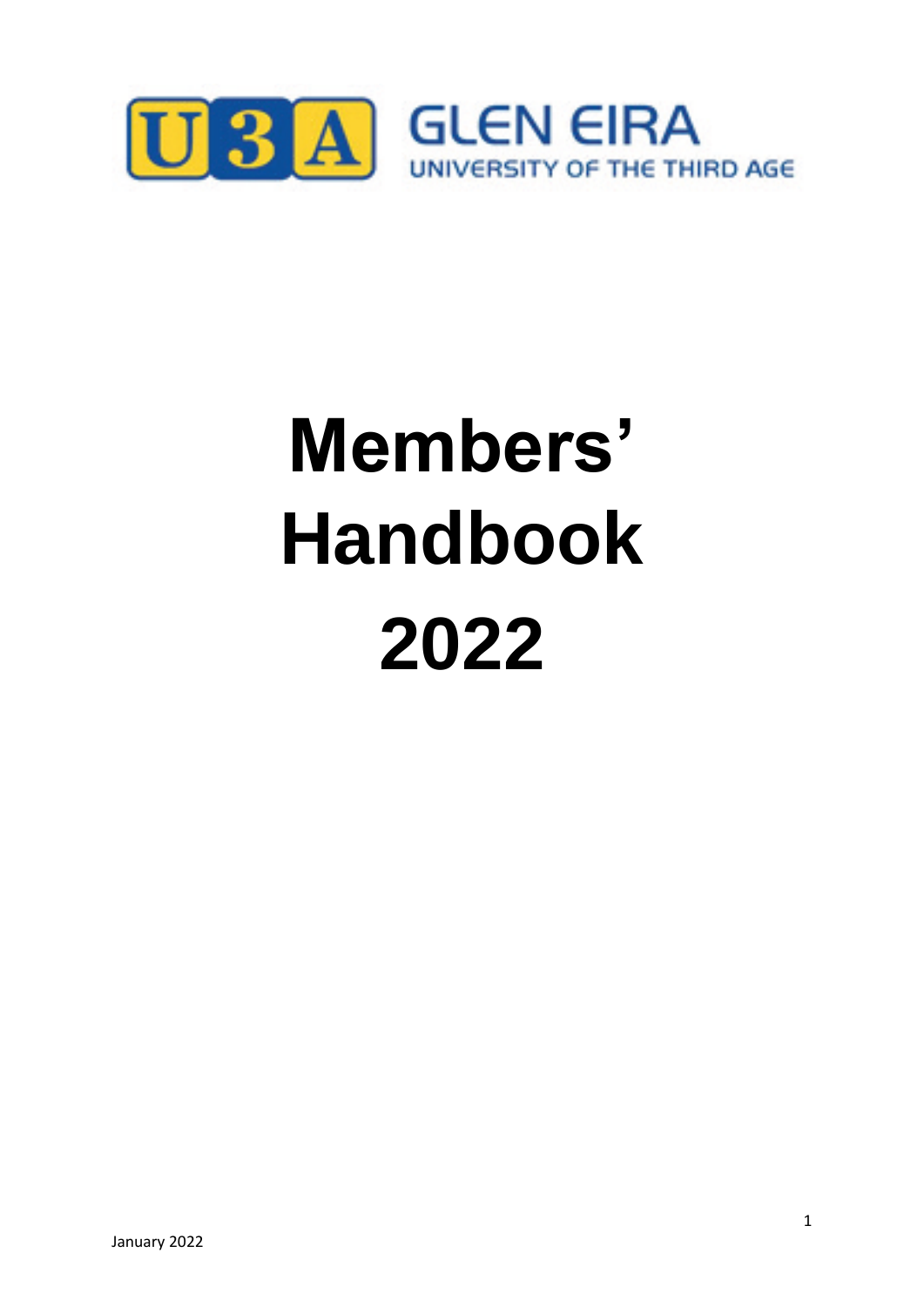

# **Members' Handbook 2022**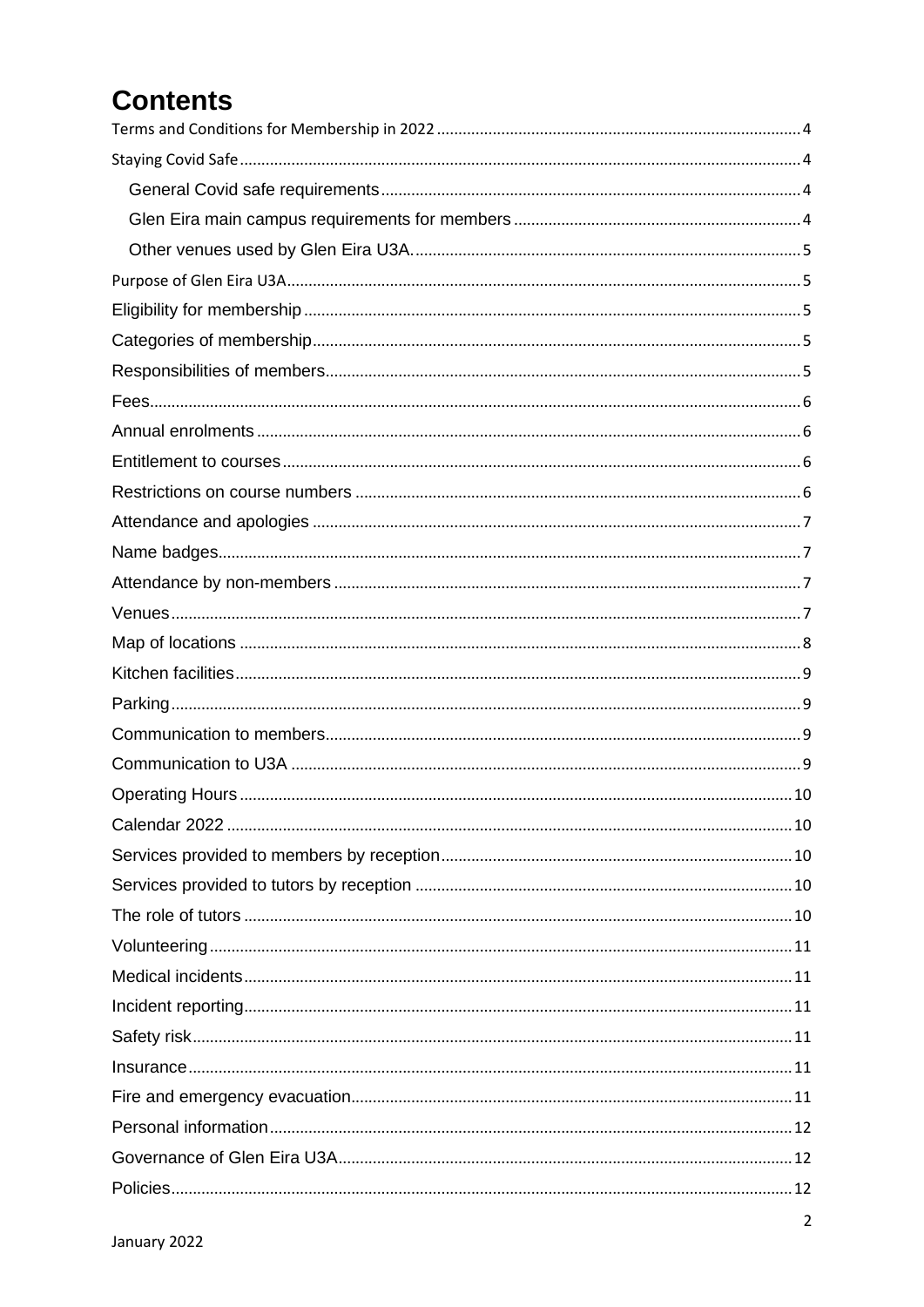# **Contents**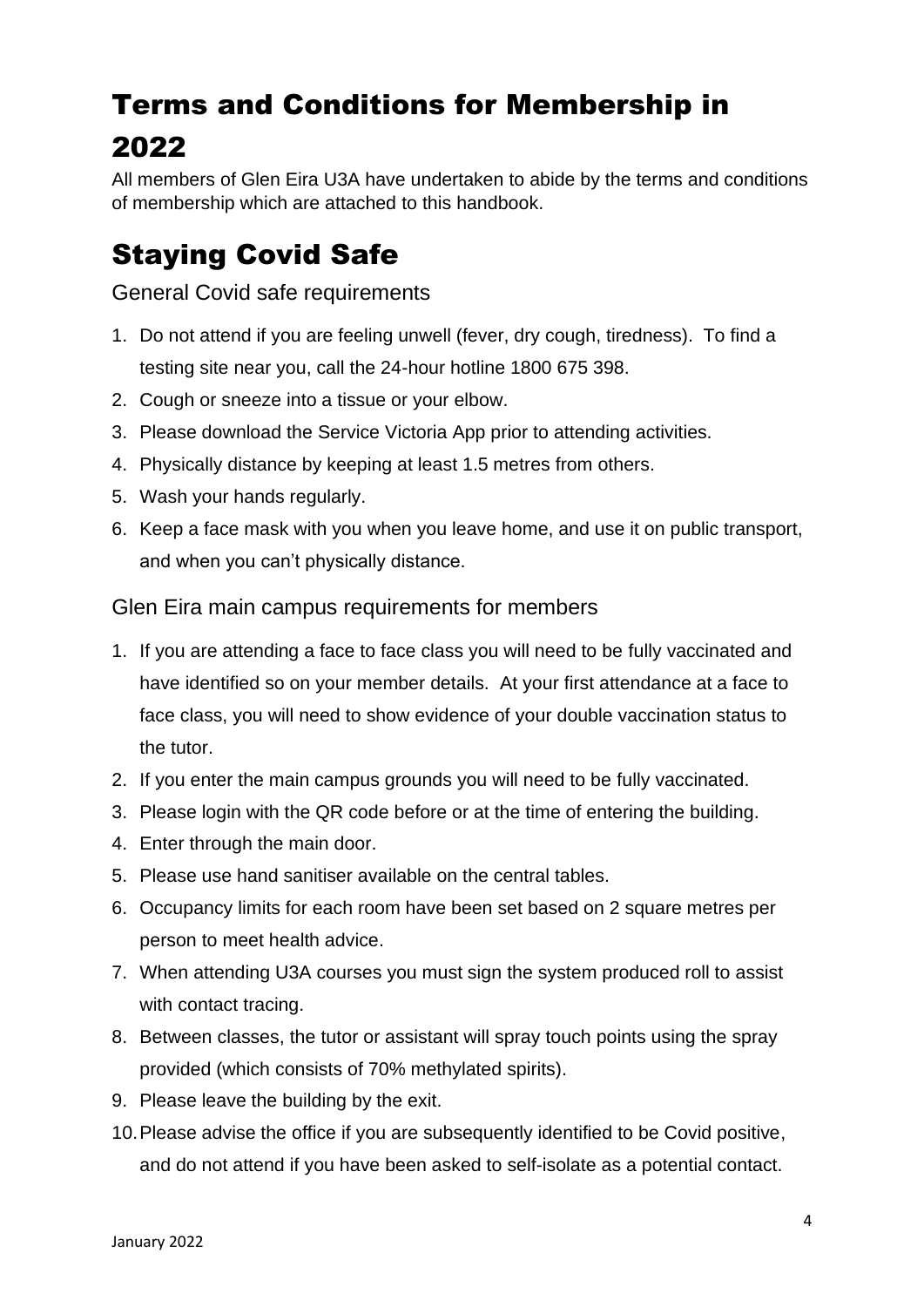# <span id="page-3-0"></span>Terms and Conditions for Membership in 2022

All members of Glen Eira U3A have undertaken to abide by the terms and conditions of membership which are attached to this handbook.

# <span id="page-3-1"></span>Staying Covid Safe

<span id="page-3-2"></span>General Covid safe requirements

- 1. Do not attend if you are feeling unwell (fever, dry cough, tiredness). To find a testing site near you, call the 24-hour hotline 1800 675 398.
- 2. Cough or sneeze into a tissue or your elbow.
- 3. Please download the Service Victoria App prior to attending activities.
- 4. Physically distance by keeping at least 1.5 metres from others.
- 5. Wash your hands regularly.
- 6. Keep a face mask with you when you leave home, and use it on public transport, and when you can't physically distance.

#### <span id="page-3-3"></span>Glen Eira main campus requirements for members

- 1. If you are attending a face to face class you will need to be fully vaccinated and have identified so on your member details. At your first attendance at a face to face class, you will need to show evidence of your double vaccination status to the tutor.
- 2. If you enter the main campus grounds you will need to be fully vaccinated.
- 3. Please login with the QR code before or at the time of entering the building.
- 4. Enter through the main door.
- 5. Please use hand sanitiser available on the central tables.
- 6. Occupancy limits for each room have been set based on 2 square metres per person to meet health advice.
- 7. When attending U3A courses you must sign the system produced roll to assist with contact tracing.
- 8. Between classes, the tutor or assistant will spray touch points using the spray provided (which consists of 70% methylated spirits).
- 9. Please leave the building by the exit.
- 10.Please advise the office if you are subsequently identified to be Covid positive, and do not attend if you have been asked to self-isolate as a potential contact.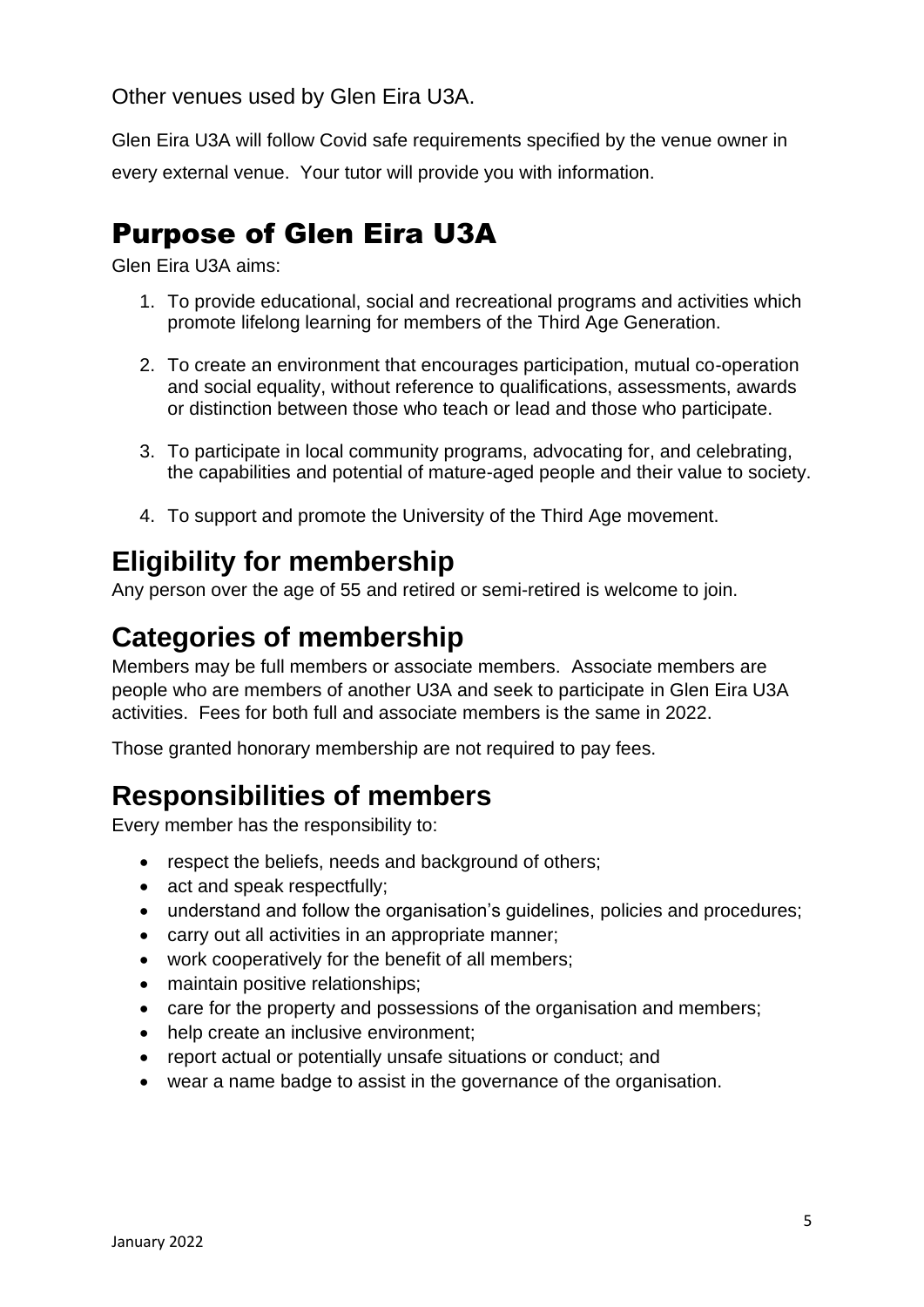<span id="page-4-0"></span>Other venues used by Glen Eira U3A.

Glen Eira U3A will follow Covid safe requirements specified by the venue owner in every external venue. Your tutor will provide you with information.

# <span id="page-4-1"></span>Purpose of Glen Eira U3A

Glen Eira U3A aims:

- 1. To provide educational, social and recreational programs and activities which promote lifelong learning for members of the Third Age Generation.
- 2. To create an environment that encourages participation, mutual co-operation and social equality, without reference to qualifications, assessments, awards or distinction between those who teach or lead and those who participate.
- 3. To participate in local community programs, advocating for, and celebrating, the capabilities and potential of mature-aged people and their value to society.
- 4. To support and promote the University of the Third Age movement.

# <span id="page-4-2"></span>**Eligibility for membership**

Any person over the age of 55 and retired or semi-retired is welcome to join.

## <span id="page-4-3"></span>**Categories of membership**

Members may be full members or associate members. Associate members are people who are members of another U3A and seek to participate in Glen Eira U3A activities. Fees for both full and associate members is the same in 2022.

Those granted honorary membership are not required to pay fees.

## <span id="page-4-4"></span>**Responsibilities of members**

Every member has the responsibility to:

- respect the beliefs, needs and background of others;
- act and speak respectfully;
- understand and follow the organisation's guidelines, policies and procedures;
- carry out all activities in an appropriate manner;
- work cooperatively for the benefit of all members;
- maintain positive relationships;
- care for the property and possessions of the organisation and members;
- help create an inclusive environment;
- report actual or potentially unsafe situations or conduct; and
- wear a name badge to assist in the governance of the organisation.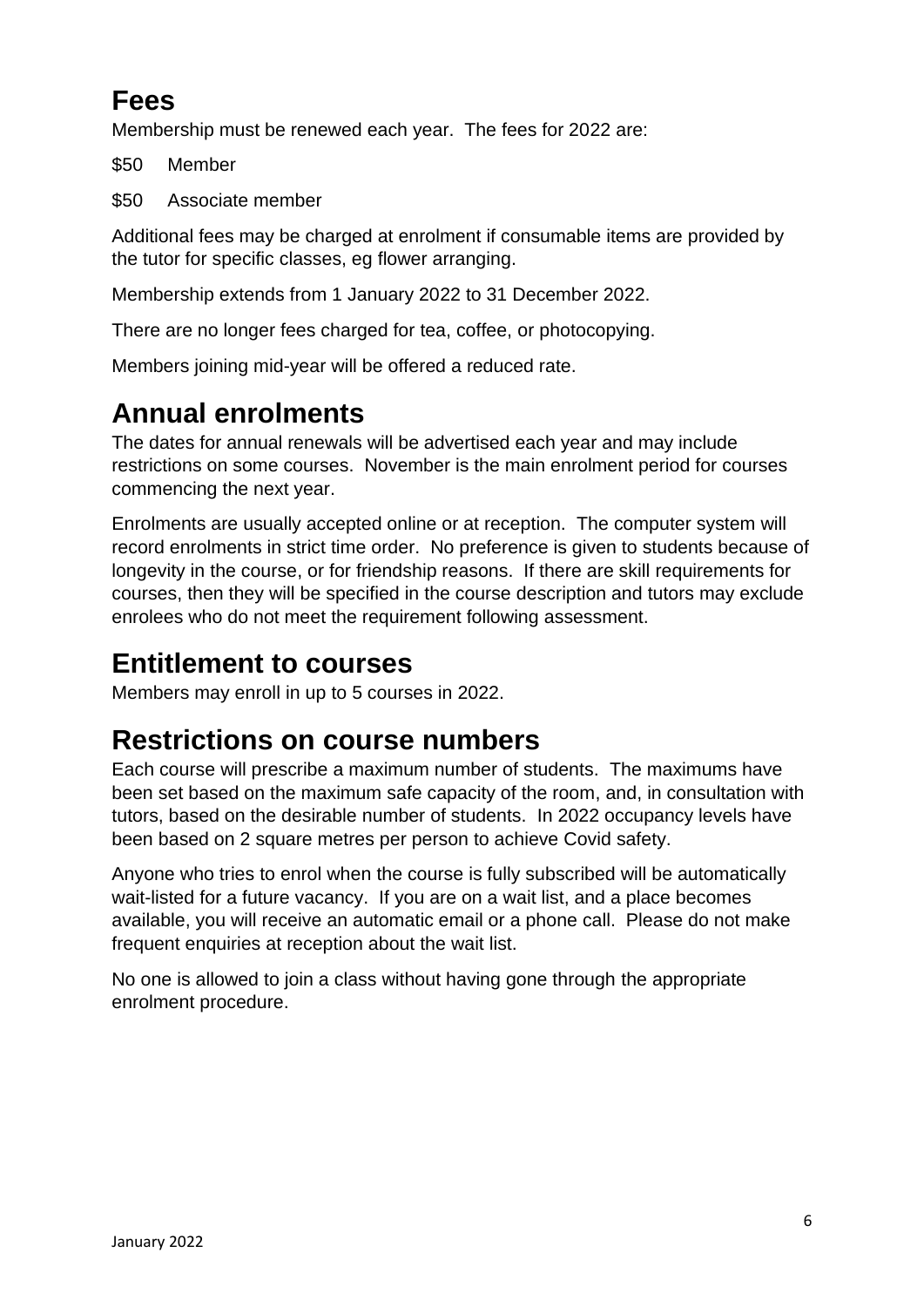# <span id="page-5-0"></span>**Fees**

Membership must be renewed each year. The fees for 2022 are:

\$50 Member

\$50 Associate member

Additional fees may be charged at enrolment if consumable items are provided by the tutor for specific classes, eg flower arranging.

Membership extends from 1 January 2022 to 31 December 2022.

There are no longer fees charged for tea, coffee, or photocopying.

Members joining mid-year will be offered a reduced rate.

# <span id="page-5-1"></span>**Annual enrolments**

The dates for annual renewals will be advertised each year and may include restrictions on some courses. November is the main enrolment period for courses commencing the next year.

Enrolments are usually accepted online or at reception. The computer system will record enrolments in strict time order. No preference is given to students because of longevity in the course, or for friendship reasons. If there are skill requirements for courses, then they will be specified in the course description and tutors may exclude enrolees who do not meet the requirement following assessment.

# <span id="page-5-2"></span>**Entitlement to courses**

Members may enroll in up to 5 courses in 2022.

## <span id="page-5-3"></span>**Restrictions on course numbers**

Each course will prescribe a maximum number of students. The maximums have been set based on the maximum safe capacity of the room, and, in consultation with tutors, based on the desirable number of students. In 2022 occupancy levels have been based on 2 square metres per person to achieve Covid safety.

Anyone who tries to enrol when the course is fully subscribed will be automatically wait-listed for a future vacancy. If you are on a wait list, and a place becomes available, you will receive an automatic email or a phone call. Please do not make frequent enquiries at reception about the wait list.

No one is allowed to join a class without having gone through the appropriate enrolment procedure.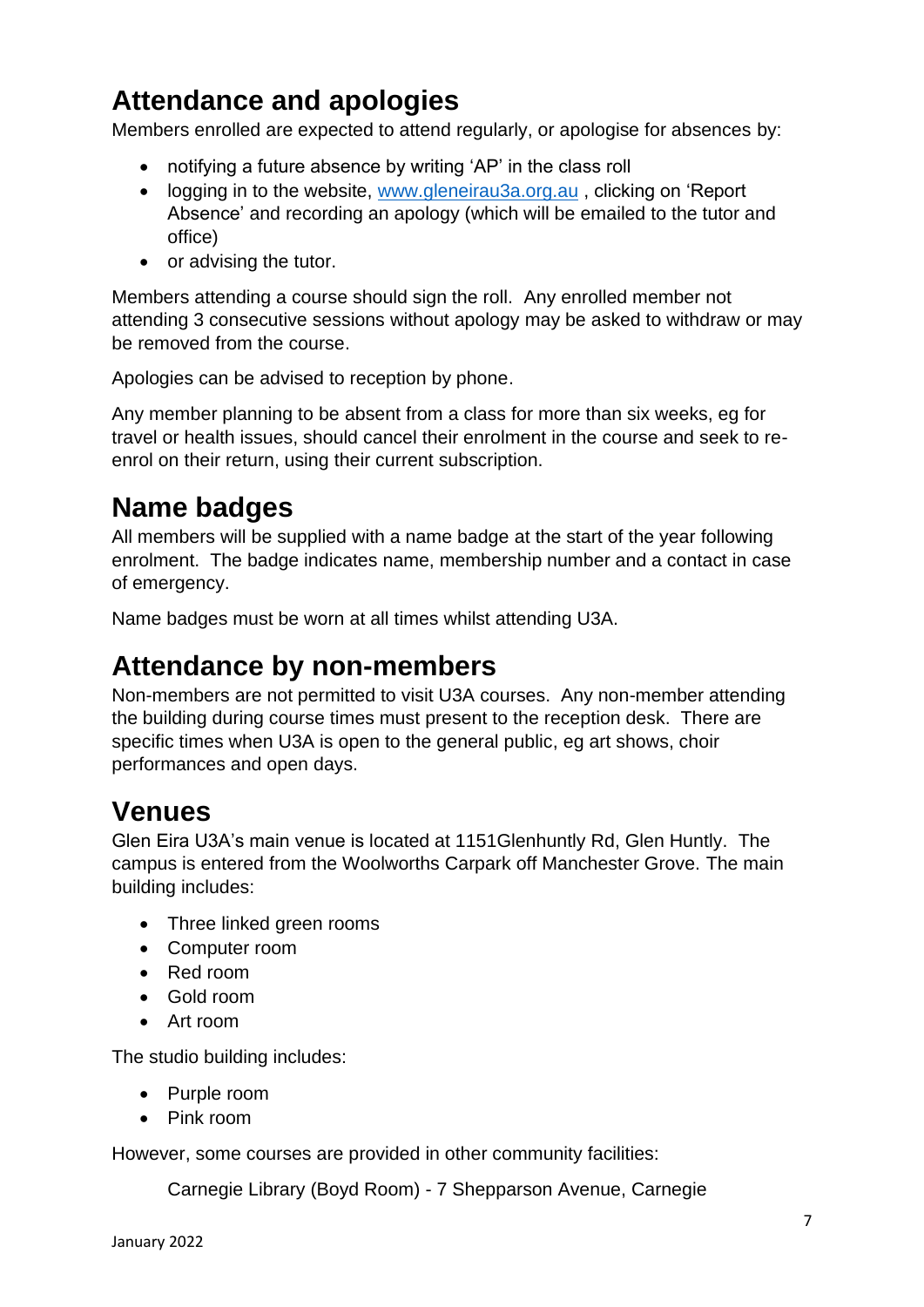# <span id="page-6-0"></span>**Attendance and apologies**

Members enrolled are expected to attend regularly, or apologise for absences by:

- notifying a future absence by writing 'AP' in the class roll
- logging in to the website, [www.gleneirau3a.org.au](http://www.gleneirau3a.org.au/) , clicking on 'Report Absence' and recording an apology (which will be emailed to the tutor and office)
- or advising the tutor.

Members attending a course should sign the roll. Any enrolled member not attending 3 consecutive sessions without apology may be asked to withdraw or may be removed from the course.

Apologies can be advised to reception by phone.

Any member planning to be absent from a class for more than six weeks, eg for travel or health issues, should cancel their enrolment in the course and seek to reenrol on their return, using their current subscription.

# <span id="page-6-1"></span>**Name badges**

All members will be supplied with a name badge at the start of the year following enrolment. The badge indicates name, membership number and a contact in case of emergency.

Name badges must be worn at all times whilst attending U3A.

## <span id="page-6-2"></span>**Attendance by non-members**

Non-members are not permitted to visit U3A courses. Any non-member attending the building during course times must present to the reception desk. There are specific times when U3A is open to the general public, eg art shows, choir performances and open days.

# <span id="page-6-3"></span>**Venues**

Glen Eira U3A's main venue is located at 1151Glenhuntly Rd, Glen Huntly. The campus is entered from the Woolworths Carpark off Manchester Grove. The main building includes:

- Three linked green rooms
- Computer room
- Red room
- Gold room
- Art room

The studio building includes:

- Purple room
- Pink room

However, some courses are provided in other community facilities:

Carnegie Library (Boyd Room) - 7 Shepparson Avenue, Carnegie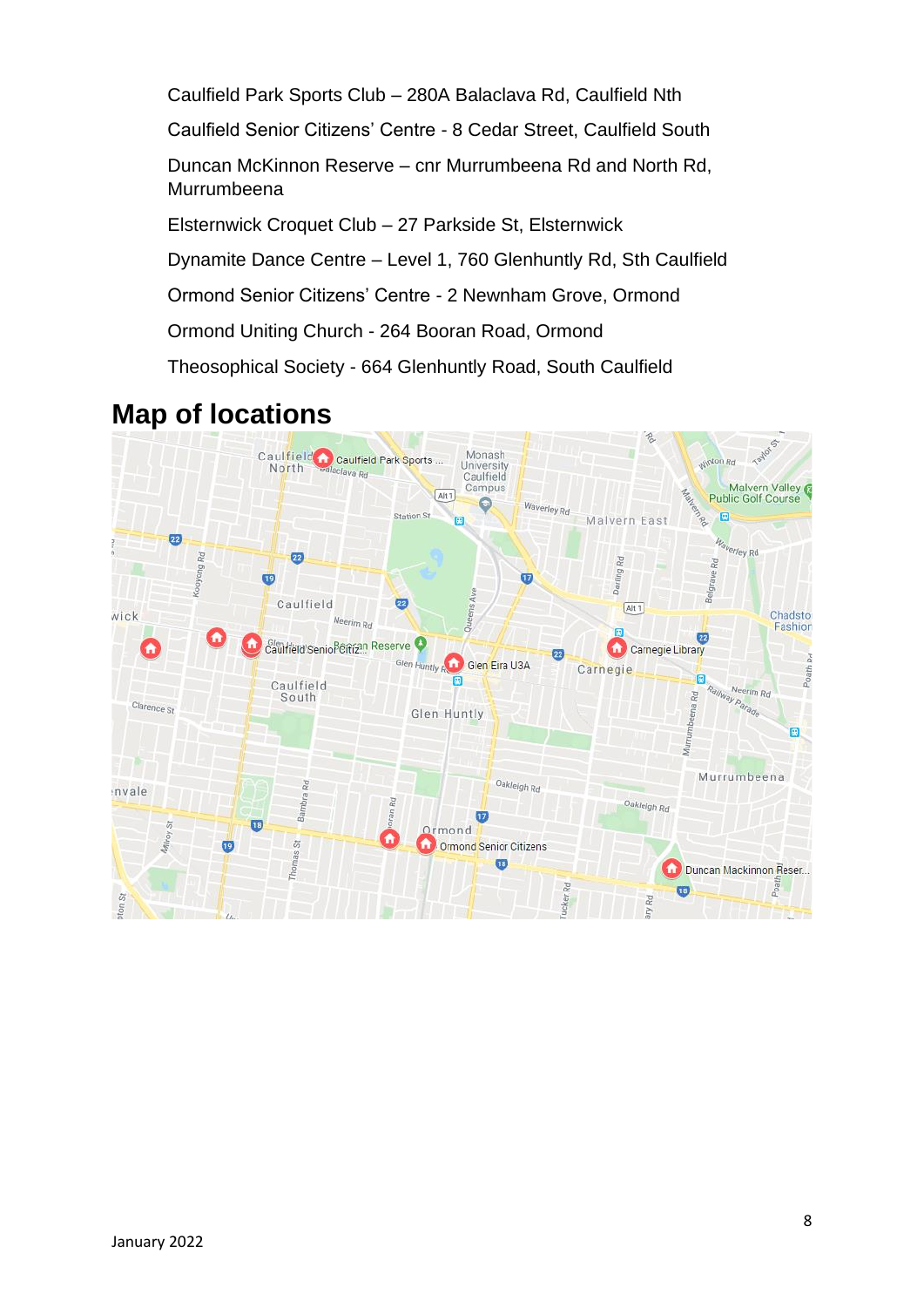Caulfield Park Sports Club – 280A Balaclava Rd, Caulfield Nth Caulfield Senior Citizens' Centre - 8 Cedar Street, Caulfield South Duncan McKinnon Reserve – cnr Murrumbeena Rd and North Rd, Murrumbeena Elsternwick Croquet Club – 27 Parkside St, Elsternwick Dynamite Dance Centre – Level 1, 760 Glenhuntly Rd, Sth Caulfield Ormond Senior Citizens' Centre - 2 Newnham Grove, Ormond Ormond Uniting Church - 264 Booran Road, Ormond Theosophical Society - 664 Glenhuntly Road, South Caulfield

## <span id="page-7-0"></span>**Map of locations**

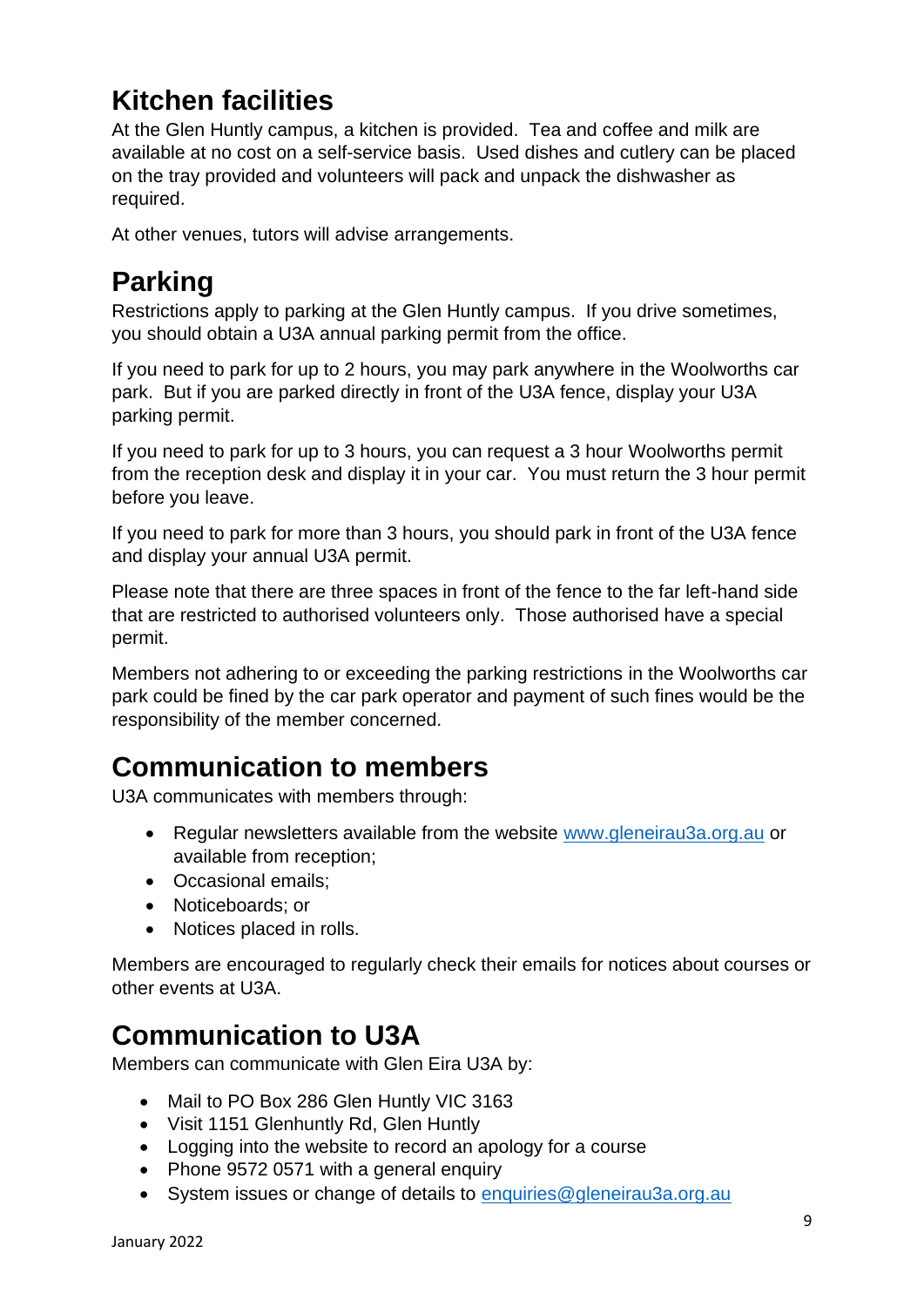# <span id="page-8-0"></span>**Kitchen facilities**

At the Glen Huntly campus, a kitchen is provided. Tea and coffee and milk are available at no cost on a self-service basis. Used dishes and cutlery can be placed on the tray provided and volunteers will pack and unpack the dishwasher as required.

At other venues, tutors will advise arrangements.

# <span id="page-8-1"></span>**Parking**

Restrictions apply to parking at the Glen Huntly campus. If you drive sometimes, you should obtain a U3A annual parking permit from the office.

If you need to park for up to 2 hours, you may park anywhere in the Woolworths car park. But if you are parked directly in front of the U3A fence, display your U3A parking permit.

If you need to park for up to 3 hours, you can request a 3 hour Woolworths permit from the reception desk and display it in your car. You must return the 3 hour permit before you leave.

If you need to park for more than 3 hours, you should park in front of the U3A fence and display your annual U3A permit.

Please note that there are three spaces in front of the fence to the far left-hand side that are restricted to authorised volunteers only. Those authorised have a special permit.

Members not adhering to or exceeding the parking restrictions in the Woolworths car park could be fined by the car park operator and payment of such fines would be the responsibility of the member concerned.

# <span id="page-8-2"></span>**Communication to members**

U3A communicates with members through:

- Regular newsletters available from the website [www.gleneirau3a.org.au](http://www.gleneirau3a.org.au/) or available from reception;
- Occasional emails;
- Noticeboards; or
- Notices placed in rolls.

Members are encouraged to regularly check their emails for notices about courses or other events at U3A.

# <span id="page-8-3"></span>**Communication to U3A**

Members can communicate with Glen Eira U3A by:

- Mail to PO Box 286 Glen Huntly VIC 3163
- Visit 1151 Glenhuntly Rd, Glen Huntly
- Logging into the website to record an apology for a course
- Phone 9572 0571 with a general enquiry
- System issues or change of details to enquiries@gleneirau3a.org.au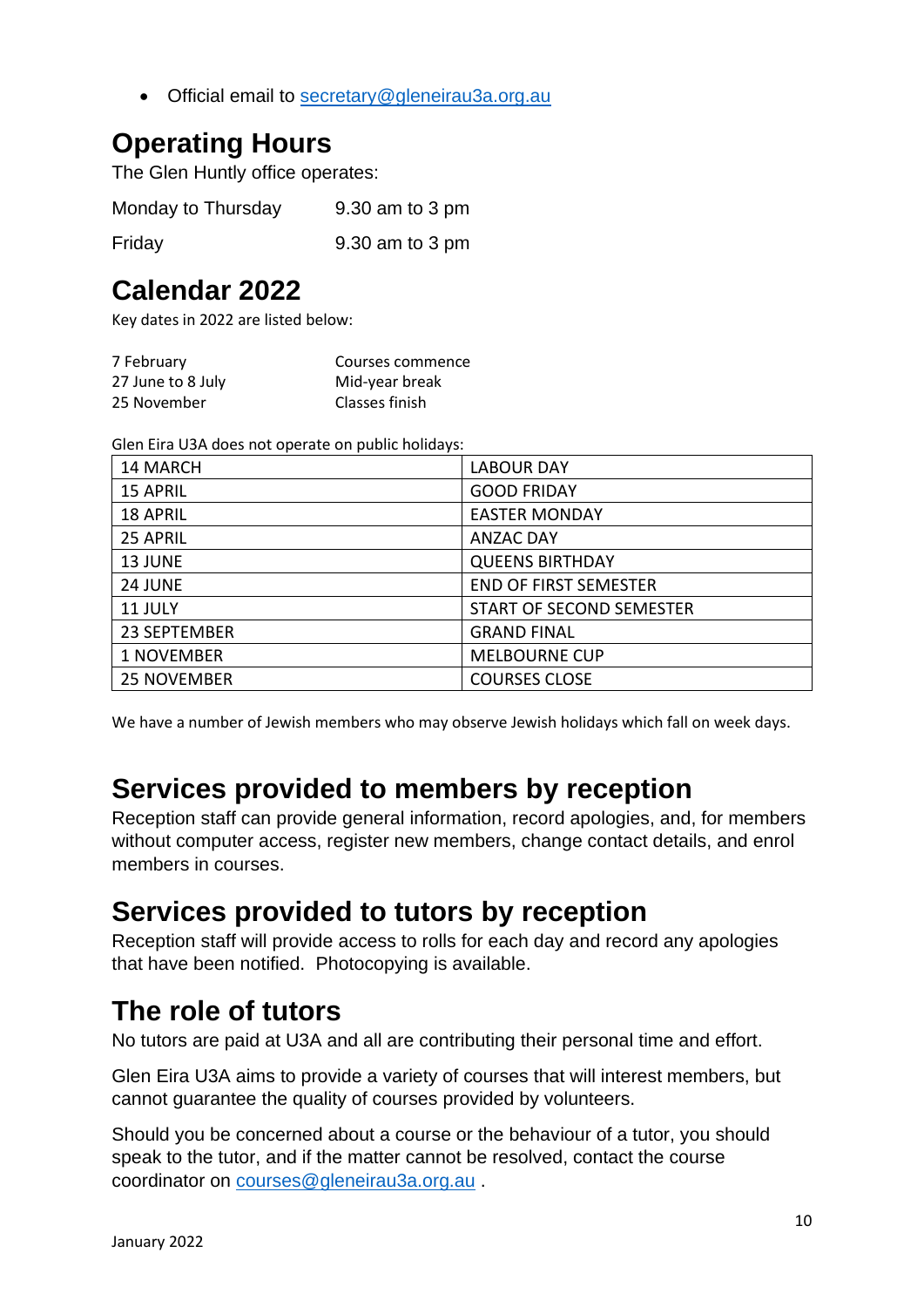• Official email to [secretary@gleneirau3a.org.au](mailto:secretary@gleneirau3a.org.au)

# <span id="page-9-0"></span>**Operating Hours**

The Glen Huntly office operates:

| Monday to Thursday | 9.30 am to 3 pm |
|--------------------|-----------------|
|--------------------|-----------------|

Friday 9.30 am to 3 pm

## <span id="page-9-1"></span>**Calendar 2022**

Key dates in 2022 are listed below:

| 7 February        | Courses commence |
|-------------------|------------------|
| 27 June to 8 July | Mid-year break   |
| 25 November       | Classes finish   |

Glen Eira U3A does not operate on public holidays:

| 14 MARCH           | <b>LABOUR DAY</b>            |
|--------------------|------------------------------|
| <b>15 APRIL</b>    | <b>GOOD FRIDAY</b>           |
| <b>18 APRIL</b>    | <b>EASTER MONDAY</b>         |
| 25 APRIL           | <b>ANZAC DAY</b>             |
| 13 JUNE            | <b>QUEENS BIRTHDAY</b>       |
| 24 JUNE            | <b>END OF FIRST SEMESTER</b> |
| 11 JULY            | START OF SECOND SEMESTER     |
| 23 SEPTEMBER       | <b>GRAND FINAL</b>           |
| 1 NOVEMBER         | <b>MELBOURNE CUP</b>         |
| <b>25 NOVEMBER</b> | <b>COURSES CLOSE</b>         |

We have a number of Jewish members who may observe Jewish holidays which fall on week days.

#### <span id="page-9-2"></span>**Services provided to members by reception**

Reception staff can provide general information, record apologies, and, for members without computer access, register new members, change contact details, and enrol members in courses.

## <span id="page-9-3"></span>**Services provided to tutors by reception**

Reception staff will provide access to rolls for each day and record any apologies that have been notified. Photocopying is available.

#### <span id="page-9-4"></span>**The role of tutors**

No tutors are paid at U3A and all are contributing their personal time and effort.

Glen Eira U3A aims to provide a variety of courses that will interest members, but cannot guarantee the quality of courses provided by volunteers.

Should you be concerned about a course or the behaviour of a tutor, you should speak to the tutor, and if the matter cannot be resolved, contact the course coordinator on [courses@gleneirau3a.org.au](mailto:courses@gleneirau3a.org.au) .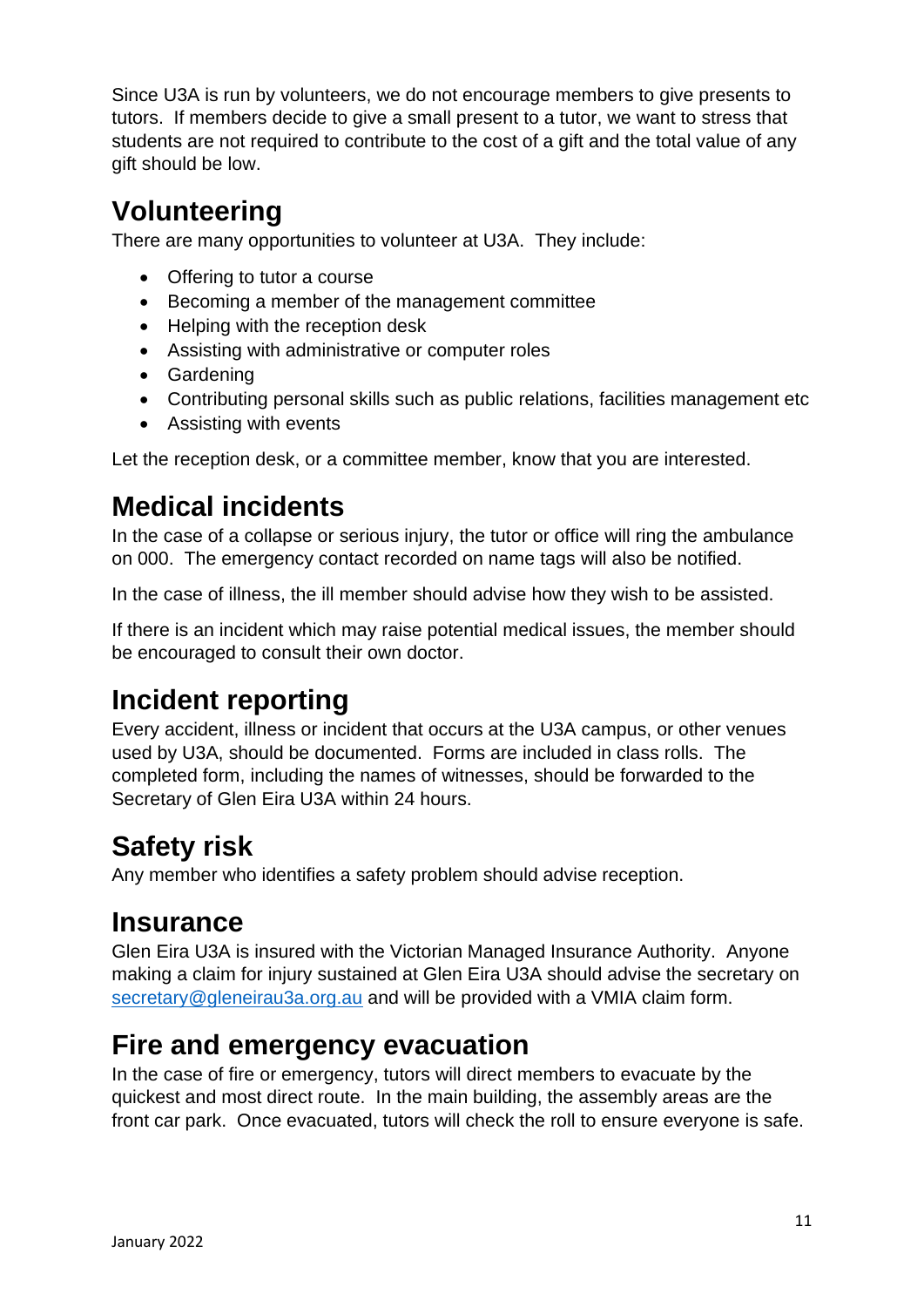Since U3A is run by volunteers, we do not encourage members to give presents to tutors. If members decide to give a small present to a tutor, we want to stress that students are not required to contribute to the cost of a gift and the total value of any gift should be low.

# <span id="page-10-0"></span>**Volunteering**

There are many opportunities to volunteer at U3A. They include:

- Offering to tutor a course
- Becoming a member of the management committee
- Helping with the reception desk
- Assisting with administrative or computer roles
- Gardening
- Contributing personal skills such as public relations, facilities management etc
- Assisting with events

Let the reception desk, or a committee member, know that you are interested.

# <span id="page-10-1"></span>**Medical incidents**

In the case of a collapse or serious injury, the tutor or office will ring the ambulance on 000. The emergency contact recorded on name tags will also be notified.

In the case of illness, the ill member should advise how they wish to be assisted.

If there is an incident which may raise potential medical issues, the member should be encouraged to consult their own doctor.

# <span id="page-10-2"></span>**Incident reporting**

Every accident, illness or incident that occurs at the U3A campus, or other venues used by U3A, should be documented. Forms are included in class rolls. The completed form, including the names of witnesses, should be forwarded to the Secretary of Glen Eira U3A within 24 hours.

# <span id="page-10-3"></span>**Safety risk**

Any member who identifies a safety problem should advise reception.

#### <span id="page-10-4"></span>**Insurance**

Glen Eira U3A is insured with the Victorian Managed Insurance Authority. Anyone making a claim for injury sustained at Glen Eira U3A should advise the secretary on [secretary@gleneirau3a.org.au](mailto:secretary@gleneirau3a.org.au) and will be provided with a VMIA claim form.

## <span id="page-10-5"></span>**Fire and emergency evacuation**

In the case of fire or emergency, tutors will direct members to evacuate by the quickest and most direct route. In the main building, the assembly areas are the front car park. Once evacuated, tutors will check the roll to ensure everyone is safe.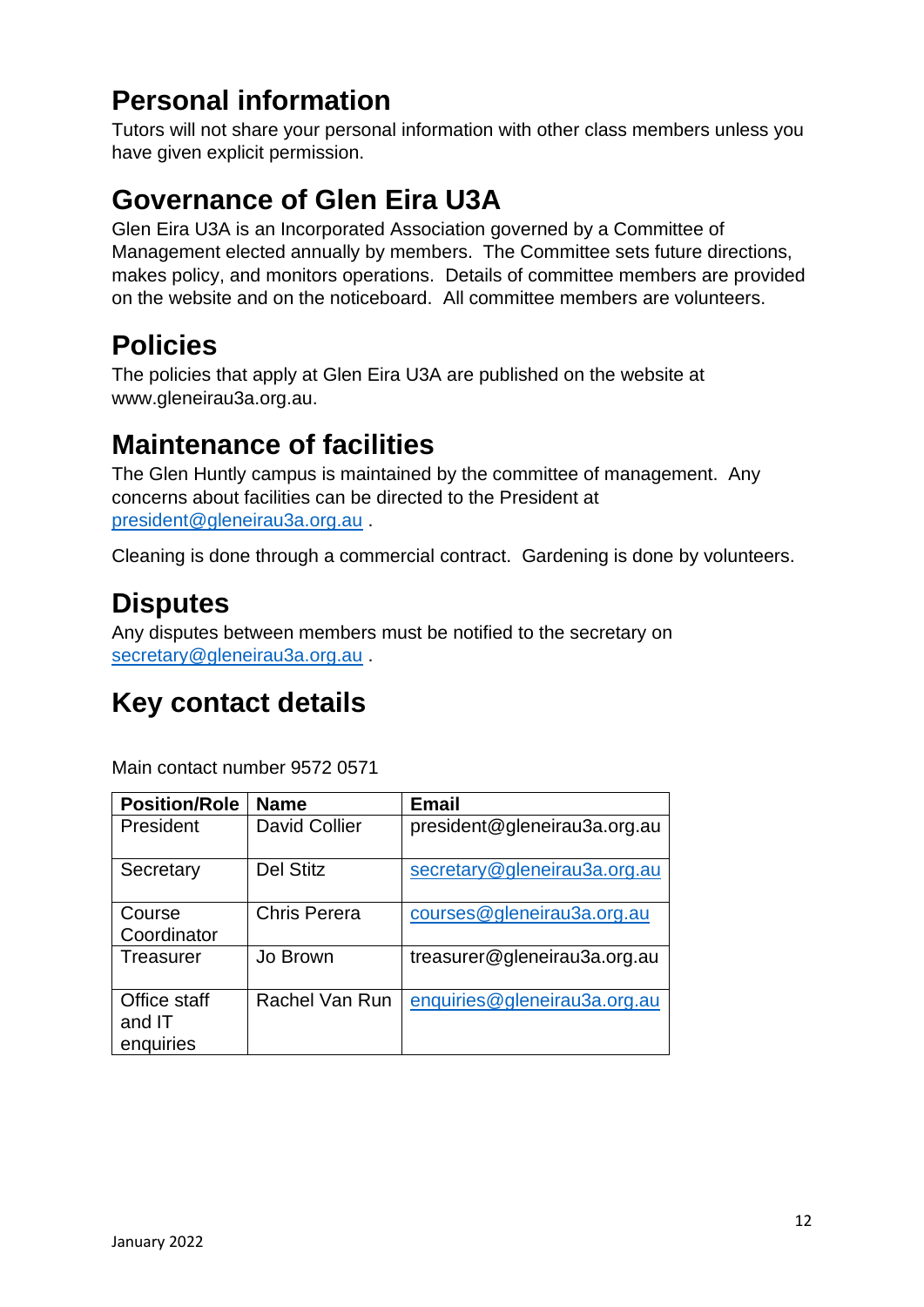# <span id="page-11-0"></span>**Personal information**

Tutors will not share your personal information with other class members unless you have given explicit permission.

# <span id="page-11-1"></span>**Governance of Glen Eira U3A**

Glen Eira U3A is an Incorporated Association governed by a Committee of Management elected annually by members. The Committee sets future directions, makes policy, and monitors operations. Details of committee members are provided on the website and on the noticeboard. All committee members are volunteers.

# <span id="page-11-2"></span>**Policies**

The policies that apply at Glen Eira U3A are published on the website at www.gleneirau3a.org.au.

# <span id="page-11-3"></span>**Maintenance of facilities**

The Glen Huntly campus is maintained by the committee of management. Any concerns about facilities can be directed to the President at [president@gleneirau3a.org.au](mailto:president@gleneirau3a.org.au) .

Cleaning is done through a commercial contract. Gardening is done by volunteers.

# <span id="page-11-4"></span>**Disputes**

Any disputes between members must be notified to the secretary on [secretary@gleneirau3a.org.au](mailto:secretary@gleneirau3a.org.au).

# <span id="page-11-5"></span>**Key contact details**

Main contact number 9572 0571

| <b>Position/Role</b>   | <b>Name</b>          | <b>Email</b>                 |
|------------------------|----------------------|------------------------------|
| President              | <b>David Collier</b> | president@gleneirau3a.org.au |
| Secretary              | Del Stitz            | secretary@gleneirau3a.org.au |
| Course                 | <b>Chris Perera</b>  | courses@gleneirau3a.org.au   |
| Coordinator            |                      |                              |
| Treasurer              | Jo Brown             | treasurer@gleneirau3a.org.au |
| Office staff<br>and IT | Rachel Van Run       | enquiries@gleneirau3a.org.au |
| enquiries              |                      |                              |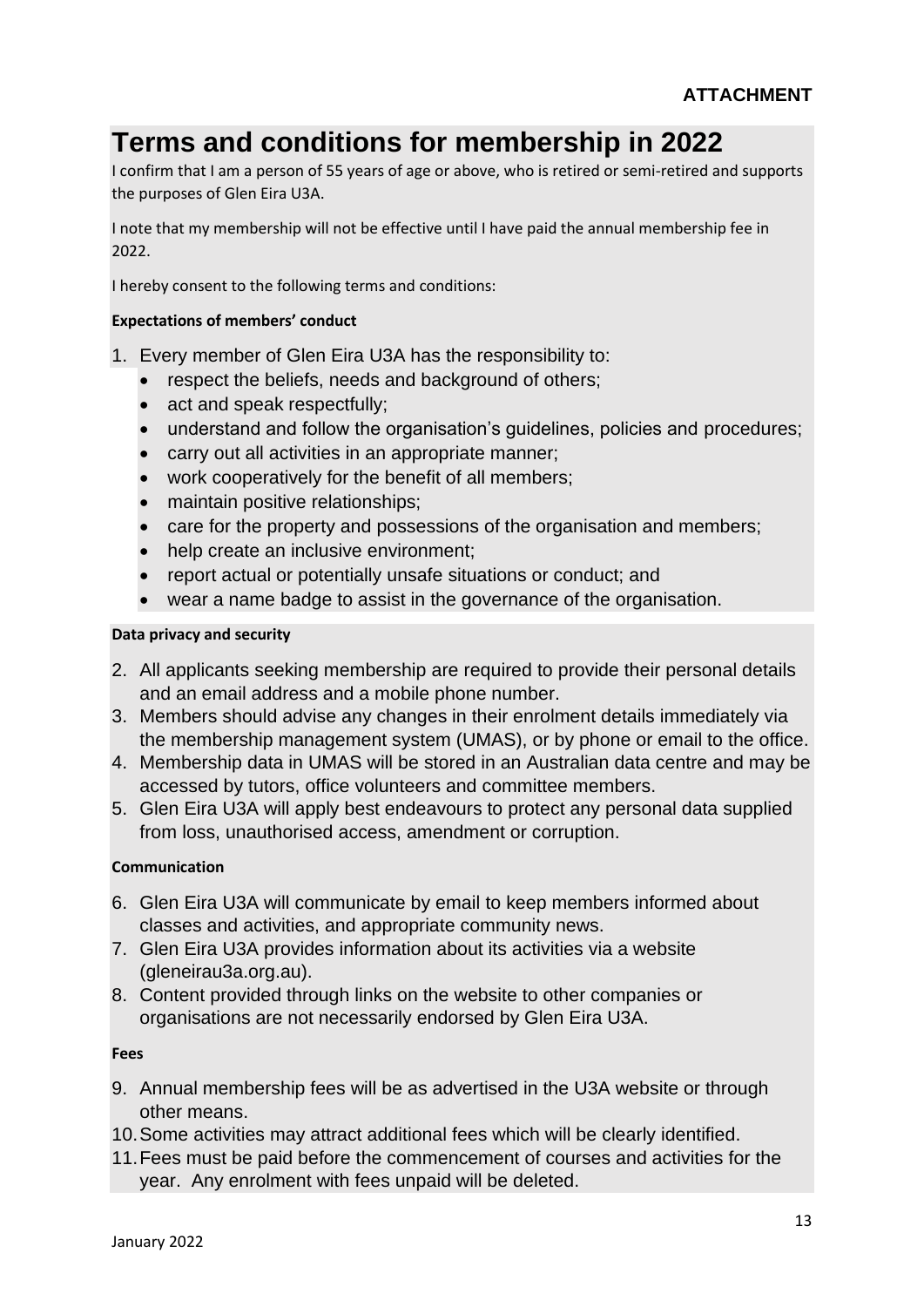### <span id="page-12-0"></span>**Terms and conditions for membership in 2022**

I confirm that I am a person of 55 years of age or above, who is retired or semi-retired and supports the purposes of Glen Eira U3A.

I note that my membership will not be effective until I have paid the annual membership fee in 2022.

I hereby consent to the following terms and conditions:

#### **Expectations of members' conduct**

- 1. Every member of Glen Eira U3A has the responsibility to:
	- respect the beliefs, needs and background of others;
	- act and speak respectfully:
	- understand and follow the organisation's guidelines, policies and procedures;
	- carry out all activities in an appropriate manner;
	- work cooperatively for the benefit of all members;
	- maintain positive relationships;
	- care for the property and possessions of the organisation and members;
	- help create an inclusive environment;
	- report actual or potentially unsafe situations or conduct; and
	- wear a name badge to assist in the governance of the organisation.

#### **Data privacy and security**

- 2. All applicants seeking membership are required to provide their personal details and an email address and a mobile phone number.
- 3. Members should advise any changes in their enrolment details immediately via the membership management system (UMAS), or by phone or email to the office.
- 4. Membership data in UMAS will be stored in an Australian data centre and may be accessed by tutors, office volunteers and committee members.
- 5. Glen Eira U3A will apply best endeavours to protect any personal data supplied from loss, unauthorised access, amendment or corruption.

#### **Communication**

- 6. Glen Eira U3A will communicate by email to keep members informed about classes and activities, and appropriate community news.
- 7. Glen Eira U3A provides information about its activities via a website (gleneirau3a.org.au).
- 8. Content provided through links on the website to other companies or organisations are not necessarily endorsed by Glen Eira U3A.

#### **Fees**

- 9. Annual membership fees will be as advertised in the U3A website or through other means.
- 10.Some activities may attract additional fees which will be clearly identified.
- 11.Fees must be paid before the commencement of courses and activities for the year. Any enrolment with fees unpaid will be deleted.